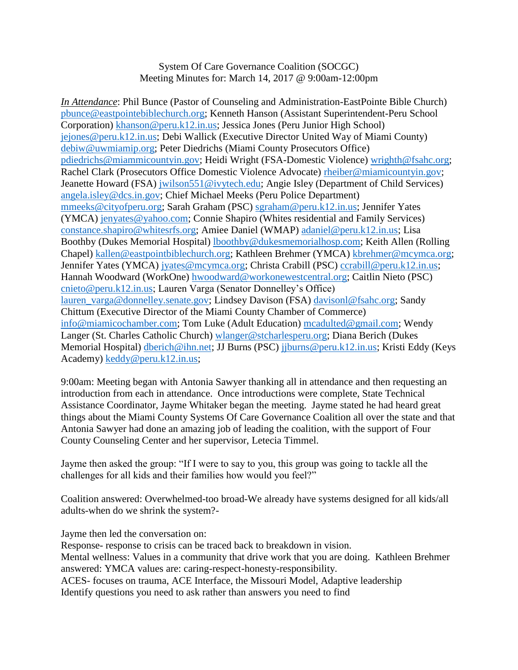System Of Care Governance Coalition (SOCGC) Meeting Minutes for: March 14, 2017 @ 9:00am-12:00pm

*In Attendance*: Phil Bunce (Pastor of Counseling and Administration-EastPointe Bible Church) [pbunce@eastpointebiblechurch.org;](mailto:pbunce@eastpointebiblechurch.org) Kenneth Hanson (Assistant Superintendent-Peru School Corporation) [khanson@peru.k12.in.us;](mailto:khanson@peru.k12.in.us) Jessica Jones (Peru Junior High School) [jejones@peru.k12.in.us;](mailto:jejones@peru.k12.in.us) Debi Wallick (Executive Director United Way of Miami County) [debiw@uwmiamip.org;](mailto:debiw@uwmiamip.org) Peter Diedrichs (Miami County Prosecutors Office) [pdiedrichs@miammicountyin.gov;](mailto:pdiedrichs@miammicountyin.gov) Heidi Wright (FSA-Domestic Violence) [wrighth@fsahc.org;](mailto:wrighth@fsahc.org) Rachel Clark (Prosecutors Office Domestic Violence Advocate) [rheiber@miamicountyin.gov;](mailto:rheiber@miamicountyin.gov) Jeanette Howard (FSA) [jwilson551@ivytech.edu;](mailto:jwilson551@ivytech.edu) Angie Isley (Department of Child Services) [angela.isley@dcs.in.gov;](mailto:angela.isley@dcs.in.gov) Chief Michael Meeks (Peru Police Department) [mmeeks@cityofperu.org;](mailto:mmeeks@cityofperu.org) Sarah Graham (PSC) [sgraham@peru.k12.in.us;](mailto:sgraham@peru.k12.in.us) Jennifer Yates (YMCA) [jenyates@yahoo.com;](mailto:jenyates@yahoo.com) Connie Shapiro (Whites residential and Family Services) [constance.shapiro@whitesrfs.org;](mailto:constance.shapiro@whitesrfs.org) Amiee Daniel (WMAP) [adaniel@peru.k12.in.us;](mailto:adaniel@peru.k12.in.us) Lisa Boothby (Dukes Memorial Hospital) [lboothby@dukesmemorialhosp.com;](mailto:lboothby@dukesmemorialhosp.com) Keith Allen (Rolling Chapel) [kallen@eastpointbiblechurch.org;](mailto:kallen@eastpointbiblechurch.org) Kathleen Brehmer (YMCA) [kbrehmer@mcymca.org;](mailto:kbrehmer@mcymca.org) Jennifer Yates (YMCA) [jyates@mcymca.org;](mailto:jyates@mcymca.org) Christa Crabill (PSC) [ccrabill@peru.k12.in.us;](mailto:ccrabill@peru.k12.in.us) Hannah Woodward (WorkOne) [hwoodward@workonewestcentral.org;](mailto:hwoodward@workonewestcentral.org) Caitlin Nieto (PSC) [cnieto@peru.k12.in.us;](mailto:cnieto@peru.k12.in.us) Lauren Varga (Senator Donnelley's Office) [lauren\\_varga@donnelley.senate.gov;](mailto:lauren_varga@donnelley.senate.gov) Lindsey Davison (FSA) [davisonl@fsahc.org;](mailto:davisonl@fsahc.org) Sandy Chittum (Executive Director of the Miami County Chamber of Commerce) [info@miamicochamber.com;](mailto:info@miamicochamber.com) Tom Luke (Adult Education) [mcadulted@gmail.com;](mailto:mcadulted@gmail.com) Wendy Langer (St. Charles Catholic Church) [wlanger@stcharlesperu.org;](mailto:wlanger@stcharlesperu.org) Diana Berich (Dukes Memorial Hospital) [dberich@ihn.net;](mailto:dberich@ihn.net) JJ Burns (PSC) [jjburns@peru.k12.in.us;](mailto:jjburns@peru.k12.in.us) Kristi Eddy (Keys Academy) [keddy@peru.k12.in.us;](mailto:keddy@peru.k12.in.us)

9:00am: Meeting began with Antonia Sawyer thanking all in attendance and then requesting an introduction from each in attendance. Once introductions were complete, State Technical Assistance Coordinator, Jayme Whitaker began the meeting. Jayme stated he had heard great things about the Miami County Systems Of Care Governance Coalition all over the state and that Antonia Sawyer had done an amazing job of leading the coalition, with the support of Four County Counseling Center and her supervisor, Letecia Timmel.

Jayme then asked the group: "If I were to say to you, this group was going to tackle all the challenges for all kids and their families how would you feel?"

Coalition answered: Overwhelmed-too broad-We already have systems designed for all kids/all adults-when do we shrink the system?-

Jayme then led the conversation on:

Response- response to crisis can be traced back to breakdown in vision. Mental wellness: Values in a community that drive work that you are doing. Kathleen Brehmer answered: YMCA values are: caring-respect-honesty-responsibility. ACES- focuses on trauma, ACE Interface, the Missouri Model, Adaptive leadership Identify questions you need to ask rather than answers you need to find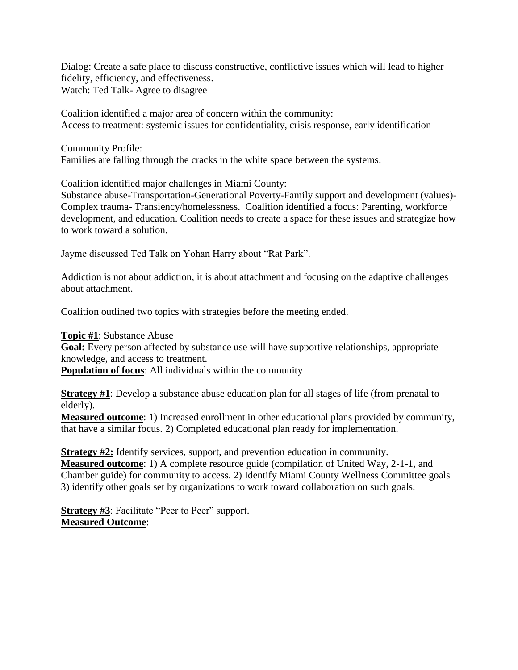Dialog: Create a safe place to discuss constructive, conflictive issues which will lead to higher fidelity, efficiency, and effectiveness. Watch: Ted Talk- Agree to disagree

Coalition identified a major area of concern within the community: Access to treatment: systemic issues for confidentiality, crisis response, early identification

Community Profile:

Families are falling through the cracks in the white space between the systems.

Coalition identified major challenges in Miami County:

Substance abuse-Transportation-Generational Poverty-Family support and development (values)- Complex trauma- Transiency/homelessness. Coalition identified a focus: Parenting, workforce development, and education. Coalition needs to create a space for these issues and strategize how to work toward a solution.

Jayme discussed Ted Talk on Yohan Harry about "Rat Park".

Addiction is not about addiction, it is about attachment and focusing on the adaptive challenges about attachment.

Coalition outlined two topics with strategies before the meeting ended.

**Topic #1**: Substance Abuse **Goal:** Every person affected by substance use will have supportive relationships, appropriate knowledge, and access to treatment.

**Population of focus**: All individuals within the community

**Strategy #1**: Develop a substance abuse education plan for all stages of life (from prenatal to elderly).

**Measured outcome**: 1) Increased enrollment in other educational plans provided by community, that have a similar focus. 2) Completed educational plan ready for implementation.

**Strategy #2:** Identify services, support, and prevention education in community. **Measured outcome**: 1) A complete resource guide (compilation of United Way, 2-1-1, and Chamber guide) for community to access. 2) Identify Miami County Wellness Committee goals 3) identify other goals set by organizations to work toward collaboration on such goals.

**Strategy #3**: Facilitate "Peer to Peer" support. **Measured Outcome**: